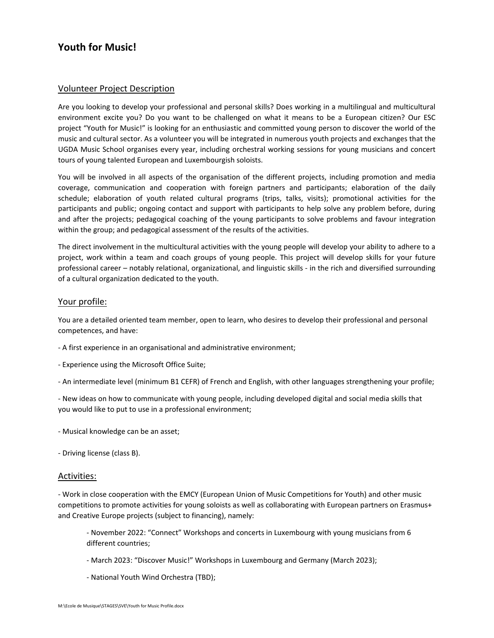# **Youth for Music!**

## Volunteer Project Description

Are you looking to develop your professional and personal skills? Does working in a multilingual and multicultural environment excite you? Do you want to be challenged on what it means to be a European citizen? Our ESC project "Youth for Music!" is looking for an enthusiastic and committed young person to discover the world of the music and cultural sector. As a volunteer you will be integrated in numerous youth projects and exchanges that the UGDA Music School organises every year, including orchestral working sessions for young musicians and concert tours of young talented European and Luxembourgish soloists.

You will be involved in all aspects of the organisation of the different projects, including promotion and media coverage, communication and cooperation with foreign partners and participants; elaboration of the daily schedule; elaboration of youth related cultural programs (trips, talks, visits); promotional activities for the participants and public; ongoing contact and support with participants to help solve any problem before, during and after the projects; pedagogical coaching of the young participants to solve problems and favour integration within the group; and pedagogical assessment of the results of the activities.

The direct involvement in the multicultural activities with the young people will develop your ability to adhere to a project, work within a team and coach groups of young people. This project will develop skills for your future professional career – notably relational, organizational, and linguistic skills - in the rich and diversified surrounding of a cultural organization dedicated to the youth.

# Your profile:

You are a detailed oriented team member, open to learn, who desires to develop their professional and personal competences, and have:

- A first experience in an organisational and administrative environment;
- Experience using the Microsoft Office Suite;
- An intermediate level (minimum B1 CEFR) of French and English, with other languages strengthening your profile;

- New ideas on how to communicate with young people, including developed digital and social media skills that you would like to put to use in a professional environment;

- Musical knowledge can be an asset;
- Driving license (class B).

#### Activities:

- Work in close cooperation with the EMCY (European Union of Music Competitions for Youth) and other music competitions to promote activities for young soloists as well as collaborating with European partners on Erasmus+ and Creative Europe projects (subject to financing), namely:

- November 2022: "Connect" Workshops and concerts in Luxembourg with young musicians from 6 different countries;

- March 2023: "Discover Music!" Workshops in Luxembourg and Germany (March 2023);
- National Youth Wind Orchestra (TBD);